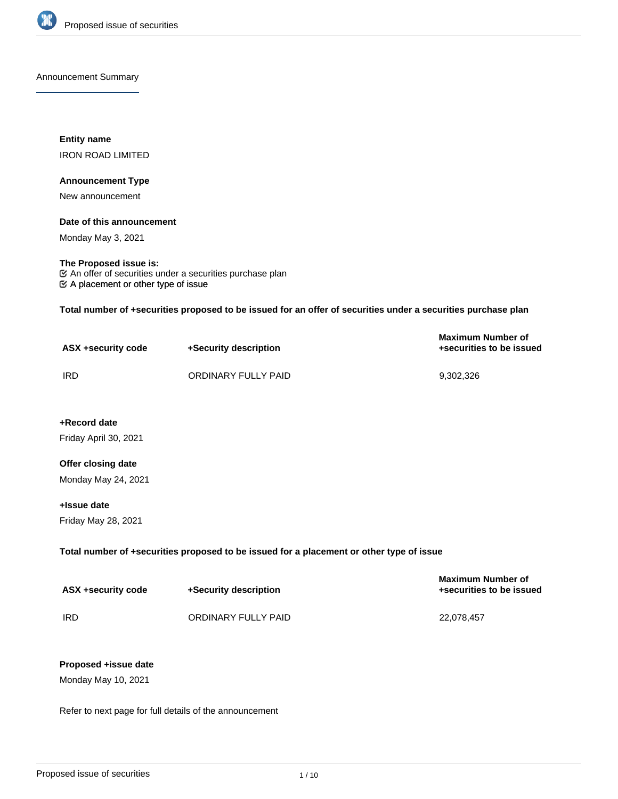

Announcement Summary

**Entity name** IRON ROAD LIMITED

### **Announcement Type**

New announcement

# **Date of this announcement**

Monday May 3, 2021

# **The Proposed issue is:**

 $\mathfrak{C}$  A placement or other type of issue  $\mathfrak C$  An offer of securities under a securities purchase plan

**Total number of +securities proposed to be issued for an offer of securities under a securities purchase plan**

| ASX +security code | +Security description | <b>Maximum Number of</b><br>+securities to be issued |
|--------------------|-----------------------|------------------------------------------------------|
| <b>IRD</b>         | ORDINARY FULLY PAID   | 9.302.326                                            |

**+Record date** Friday April 30, 2021

# **Offer closing date** Monday May 24, 2021

**+Issue date**

Friday May 28, 2021

# **Total number of +securities proposed to be issued for a placement or other type of issue**

| ASX +security code | +Security description | <b>Maximum Number of</b><br>+securities to be issued |
|--------------------|-----------------------|------------------------------------------------------|
| IRD                | ORDINARY FULLY PAID   | 22.078.457                                           |

# **Proposed +issue date**

Monday May 10, 2021

Refer to next page for full details of the announcement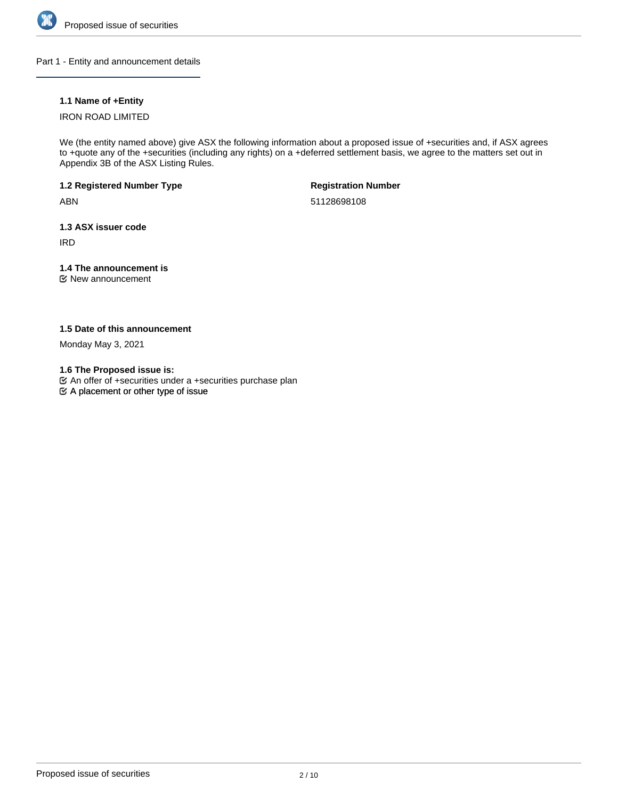

Part 1 - Entity and announcement details

# **1.1 Name of +Entity**

# IRON ROAD LIMITED

We (the entity named above) give ASX the following information about a proposed issue of +securities and, if ASX agrees to +quote any of the +securities (including any rights) on a +deferred settlement basis, we agree to the matters set out in Appendix 3B of the ASX Listing Rules.

**1.2 Registered Number Type**

ABN

**Registration Number**

51128698108

**1.3 ASX issuer code**

IRD

# **1.4 The announcement is**

New announcement

**1.5 Date of this announcement**

Monday May 3, 2021

**1.6 The Proposed issue is:**

 $\mathfrak{S}$  A placement or other type of issue An offer of +securities under a +securities purchase plan

Proposed issue of securities 2/10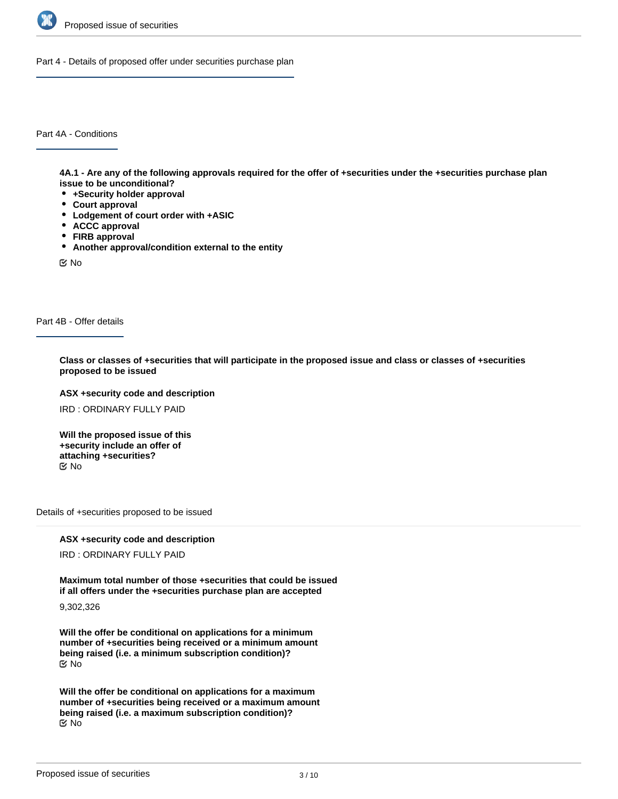

Part 4 - Details of proposed offer under securities purchase plan

Part 4A - Conditions

**4A.1 - Are any of the following approvals required for the offer of +securities under the +securities purchase plan issue to be unconditional?**

- **+Security holder approval**
- **Court approval**
- **Lodgement of court order with +ASIC**
- **ACCC approval**
- **FIRB approval**
- **Another approval/condition external to the entity**

No

Part 4B - Offer details

**Class or classes of +securities that will participate in the proposed issue and class or classes of +securities proposed to be issued**

**ASX +security code and description**

IRD : ORDINARY FULLY PAID

**Will the proposed issue of this +security include an offer of attaching +securities?** No

Details of +securities proposed to be issued

**ASX +security code and description**

IRD : ORDINARY FULLY PAID

**Maximum total number of those +securities that could be issued if all offers under the +securities purchase plan are accepted**

9,302,326

**Will the offer be conditional on applications for a minimum number of +securities being received or a minimum amount being raised (i.e. a minimum subscription condition)?** No

**Will the offer be conditional on applications for a maximum number of +securities being received or a maximum amount being raised (i.e. a maximum subscription condition)?** No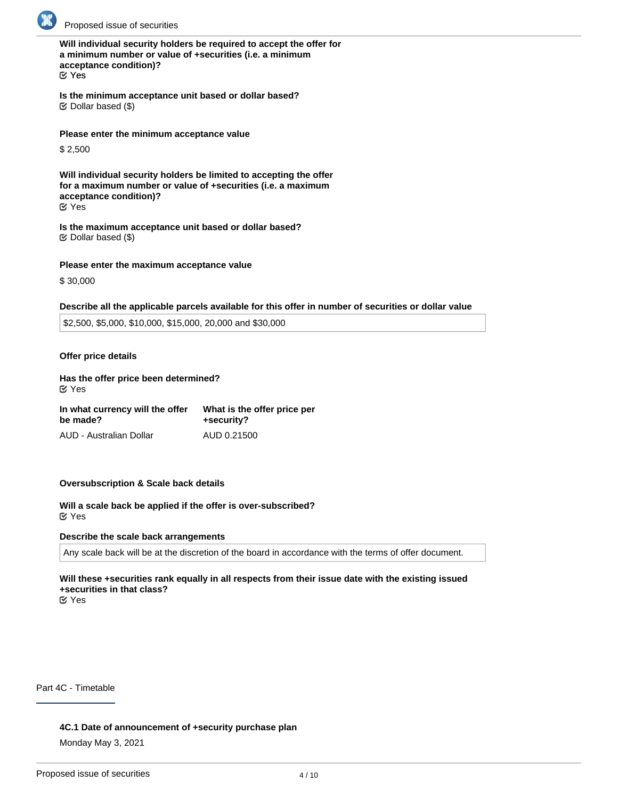

**Will individual security holders be required to accept the offer for a minimum number or value of +securities (i.e. a minimum acceptance condition)?** Yes

**Is the minimum acceptance unit based or dollar based?**  $\mathfrak{C}$  Dollar based (\$)

**Please enter the minimum acceptance value**

\$ 2,500

**Will individual security holders be limited to accepting the offer for a maximum number or value of +securities (i.e. a maximum acceptance condition)?** Yes

**Is the maximum acceptance unit based or dollar based?**  $\mathfrak S$  Dollar based (\$)

### **Please enter the maximum acceptance value**

\$ 30,000

#### **Describe all the applicable parcels available for this offer in number of securities or dollar value**

\$2,500, \$5,000, \$10,000, \$15,000, 20,000 and \$30,000

### **Offer price details**

# **Has the offer price been determined?**

Yes

| In what currency will the offer | What is the offer price per |  |
|---------------------------------|-----------------------------|--|
| be made?                        | +security?                  |  |
| AUD - Australian Dollar         | AUD 0.21500                 |  |

# **Oversubscription & Scale back details**

**Will a scale back be applied if the offer is over-subscribed?** Yes

#### **Describe the scale back arrangements**

Any scale back will be at the discretion of the board in accordance with the terms of offer document.

# **Will these +securities rank equally in all respects from their issue date with the existing issued +securities in that class?**

Yes

Part 4C - Timetable

**4C.1 Date of announcement of +security purchase plan**

Monday May 3, 2021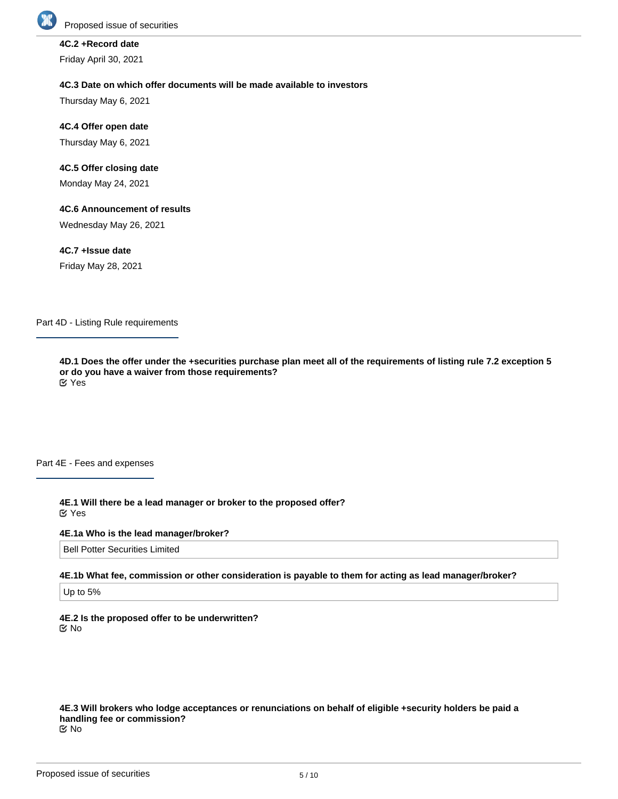

# **4C.2 +Record date**

Friday April 30, 2021

### **4C.3 Date on which offer documents will be made available to investors**

Thursday May 6, 2021

**4C.4 Offer open date** Thursday May 6, 2021

# **4C.5 Offer closing date**

Monday May 24, 2021

### **4C.6 Announcement of results**

Wednesday May 26, 2021

### **4C.7 +Issue date**

Friday May 28, 2021

Part 4D - Listing Rule requirements

**4D.1 Does the offer under the +securities purchase plan meet all of the requirements of listing rule 7.2 exception 5 or do you have a waiver from those requirements?** Yes

Part 4E - Fees and expenses

**4E.1 Will there be a lead manager or broker to the proposed offer?** Yes

#### **4E.1a Who is the lead manager/broker?**

Bell Potter Securities Limited

**4E.1b What fee, commission or other consideration is payable to them for acting as lead manager/broker?**

Up to 5%

**4E.2 Is the proposed offer to be underwritten?** No

**4E.3 Will brokers who lodge acceptances or renunciations on behalf of eligible +security holders be paid a handling fee or commission?** No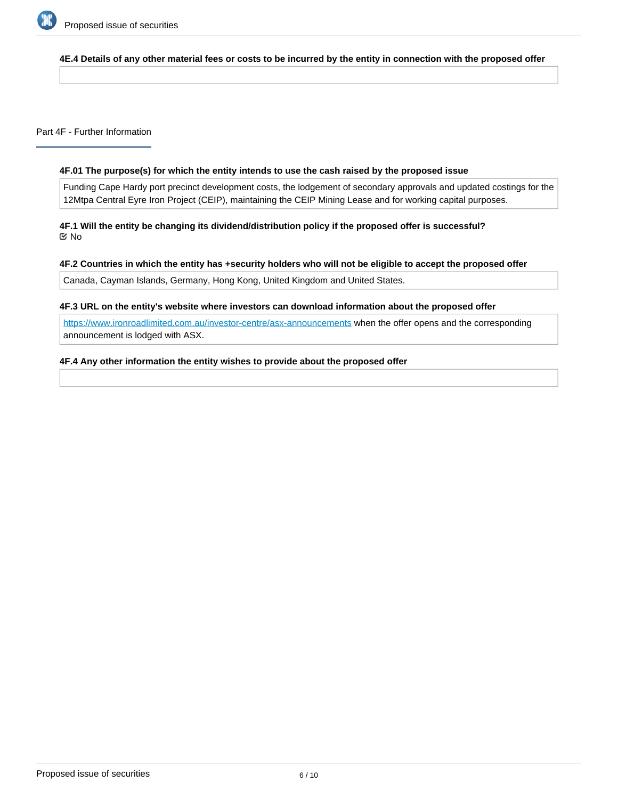

# **4E.4 Details of any other material fees or costs to be incurred by the entity in connection with the proposed offer**

Part 4F - Further Information

# **4F.01 The purpose(s) for which the entity intends to use the cash raised by the proposed issue**

Funding Cape Hardy port precinct development costs, the lodgement of secondary approvals and updated costings for the 12Mtpa Central Eyre Iron Project (CEIP), maintaining the CEIP Mining Lease and for working capital purposes.

**4F.1 Will the entity be changing its dividend/distribution policy if the proposed offer is successful?** No

# **4F.2 Countries in which the entity has +security holders who will not be eligible to accept the proposed offer**

Canada, Cayman Islands, Germany, Hong Kong, United Kingdom and United States.

### **4F.3 URL on the entity's website where investors can download information about the proposed offer**

<https://www.ironroadlimited.com.au/investor-centre/asx-announcements> when the offer opens and the corresponding announcement is lodged with ASX.

# **4F.4 Any other information the entity wishes to provide about the proposed offer**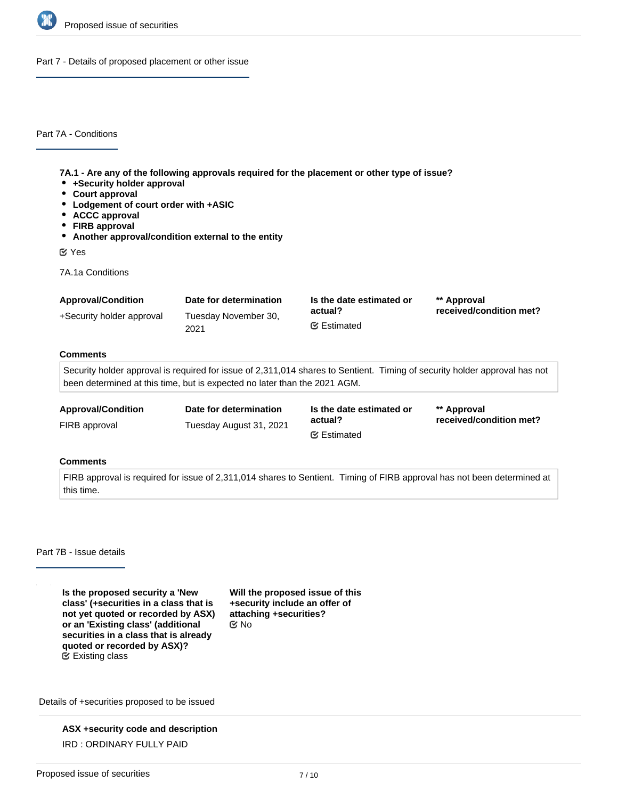

Part 7 - Details of proposed placement or other issue

Part 7A - Conditions

**7A.1 - Are any of the following approvals required for the placement or other type of issue?**

- **+Security holder approval**
- **Court approval**
- **Lodgement of court order with +ASIC**
- **ACCC approval**
- **FIRB approval**
- **Another approval/condition external to the entity**

Yes

7A.1a Conditions

| <b>Approval/Condition</b> | Date for determination       | Is the date estimated or       | ** Approval             |
|---------------------------|------------------------------|--------------------------------|-------------------------|
| +Security holder approval | Tuesday November 30,<br>2021 | actual?<br><b></b> ∉ Estimated | received/condition met? |

### **Comments**

Security holder approval is required for issue of 2,311,014 shares to Sentient. Timing of security holder approval has not been determined at this time, but is expected no later than the 2021 AGM.

met?

| <b>Approval/Condition</b> | Date for determination  | Is the date estimated or | ** Approval        |
|---------------------------|-------------------------|--------------------------|--------------------|
| FIRB approval             | Tuesday August 31, 2021 | actual?                  | received/condition |
|                           |                         | <b></b> Estimated        |                    |

## **Comments**

FIRB approval is required for issue of 2,311,014 shares to Sentient. Timing of FIRB approval has not been determined at this time.

Part 7B - Issue details

**Is the proposed security a 'New class' (+securities in a class that is not yet quoted or recorded by ASX) or an 'Existing class' (additional securities in a class that is already quoted or recorded by ASX)?** Existing class

**Will the proposed issue of this +security include an offer of attaching +securities?** No

Details of +securities proposed to be issued

**ASX +security code and description** IRD : ORDINARY FULLY PAID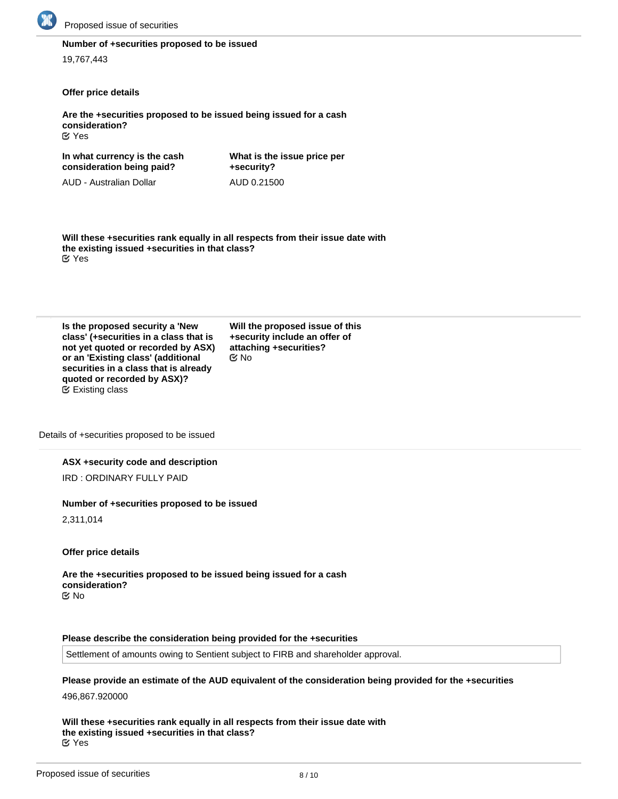

# **Number of +securities proposed to be issued**

19,767,443

# **Offer price details**

**Are the +securities proposed to be issued being issued for a cash consideration?** Yes

**In what currency is the cash consideration being paid?** AUD - Australian Dollar **+security?**

**What is the issue price per** AUD 0.21500

**Will these +securities rank equally in all respects from their issue date with the existing issued +securities in that class?** Yes

| Is the proposed security a 'New        |
|----------------------------------------|
| class' (+securities in a class that is |
| not yet quoted or recorded by ASX)     |
| or an 'Existing class' (additional     |
| securities in a class that is already  |
| quoted or recorded by ASX)?            |
| $\mathfrak{C}$ Existing class          |

**Will the proposed issue of this +security include an offer of attaching +securities? EX No** 

Details of +securities proposed to be issued

#### **ASX +security code and description**

IRD : ORDINARY FULLY PAID

#### **Number of +securities proposed to be issued**

2,311,014

**Offer price details**

**Are the +securities proposed to be issued being issued for a cash consideration?** No

#### **Please describe the consideration being provided for the +securities**

Settlement of amounts owing to Sentient subject to FIRB and shareholder approval.

**Please provide an estimate of the AUD equivalent of the consideration being provided for the +securities** 496,867.920000

**Will these +securities rank equally in all respects from their issue date with the existing issued +securities in that class?** Yes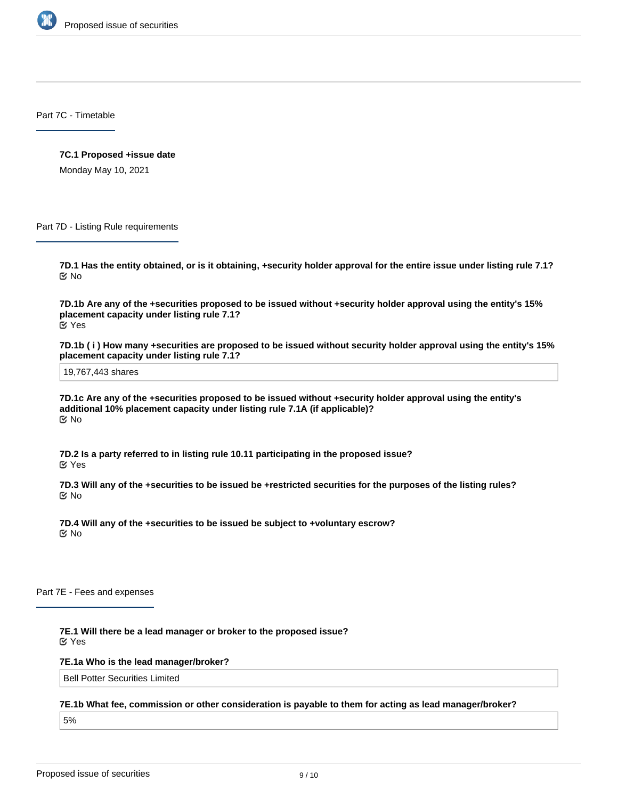

Part 7C - Timetable

**7C.1 Proposed +issue date**

Monday May 10, 2021

Part 7D - Listing Rule requirements

**7D.1 Has the entity obtained, or is it obtaining, +security holder approval for the entire issue under listing rule 7.1?** No

**7D.1b Are any of the +securities proposed to be issued without +security holder approval using the entity's 15% placement capacity under listing rule 7.1?** Yes

**7D.1b ( i ) How many +securities are proposed to be issued without security holder approval using the entity's 15% placement capacity under listing rule 7.1?**

19,767,443 shares

**7D.1c Are any of the +securities proposed to be issued without +security holder approval using the entity's additional 10% placement capacity under listing rule 7.1A (if applicable)?** No

**7D.2 Is a party referred to in listing rule 10.11 participating in the proposed issue?** Yes

**7D.3 Will any of the +securities to be issued be +restricted securities for the purposes of the listing rules?** No

**7D.4 Will any of the +securities to be issued be subject to +voluntary escrow?** No

Part 7E - Fees and expenses

**7E.1 Will there be a lead manager or broker to the proposed issue?** Yes

**7E.1a Who is the lead manager/broker?**

Bell Potter Securities Limited

**7E.1b What fee, commission or other consideration is payable to them for acting as lead manager/broker?**

5%